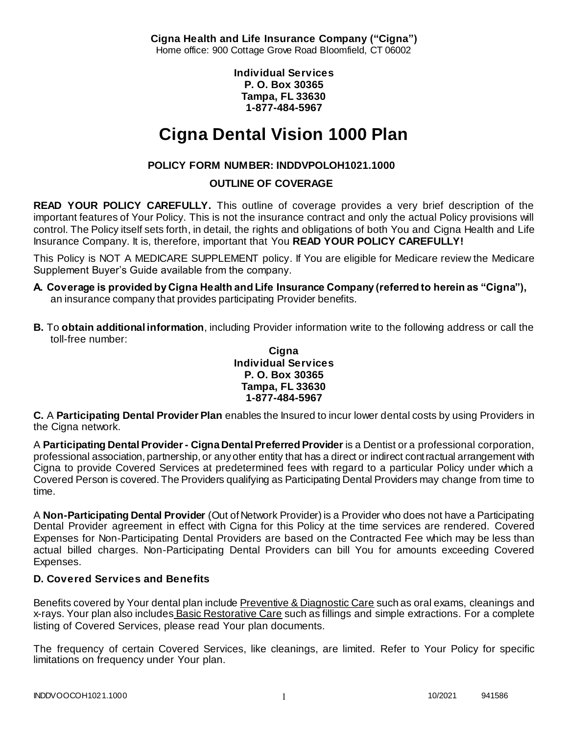**Cigna Health and Life Insurance Company ("Cigna")** Home office: 900 Cottage Grove Road Bloomfield, CT 06002

> **Individual Services P. O. Box 30365 Tampa, FL 33630 1-877-484-5967**

# **Cigna Dental Vision 1000 Plan**

# **POLICY FORM NUMBER: INDDVPOLOH1021.1000**

# **OUTLINE OF COVERAGE**

**READ YOUR POLICY CAREFULLY.** This outline of coverage provides a very brief description of the important features of Your Policy. This is not the insurance contract and only the actual Policy provisions will control. The Policy itself sets forth, in detail, the rights and obligations of both You and Cigna Health and Life Insurance Company. It is, therefore, important that You **READ YOUR POLICY CAREFULLY!** 

This Policy is NOT A MEDICARE SUPPLEMENT policy. If You are eligible for Medicare review the Medicare Supplement Buyer's Guide available from the company.

- **A. Coverage is provided by Cigna Health and Life Insurance Company (referred to herein as "Cigna"),**  an insurance company that provides participating Provider benefits.
- **B.** To **obtain additional information**, including Provider information write to the following address or call the toll-free number:

### **Cigna Individual Services P. O. Box 30365 Tampa, FL 33630 1-877-484-5967**

**C.** A **Participating Dental Provider Plan** enables the Insured to incur lower dental costs by using Providers in the Cigna network.

A **Participating Dental Provider - Cigna Dental Preferred Provider** is a Dentist or a professional corporation, professional association, partnership, or any other entity that has a direct or indirect contractual arrangement with Cigna to provide Covered Services at predetermined fees with regard to a particular Policy under which a Covered Person is covered. The Providers qualifying as Participating Dental Providers may change from time to time.

A **Non-Participating Dental Provider** (Out of Network Provider) is a Provider who does not have a Participating Dental Provider agreement in effect with Cigna for this Policy at the time services are rendered. Covered Expenses for Non-Participating Dental Providers are based on the Contracted Fee which may be less than actual billed charges. Non-Participating Dental Providers can bill You for amounts exceeding Covered Expenses.

# **D. Covered Services and Benefits**

Benefits covered by Your dental plan include Preventive & Diagnostic Care such as oral exams, cleanings and x-rays. Your plan also includes Basic Restorative Care such as fillings and simple extractions. For a complete listing of Covered Services, please read Your plan documents.

The frequency of certain Covered Services, like cleanings, are limited. Refer to Your Policy for specific limitations on frequency under Your plan.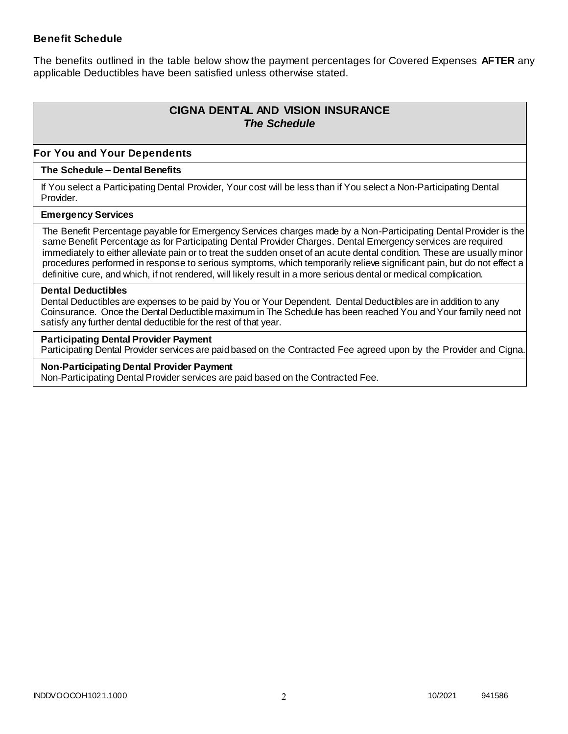### **Benefit Schedule**

The benefits outlined in the table below show the payment percentages for Covered Expenses **AFTER** any applicable Deductibles have been satisfied unless otherwise stated.

# **CIGNA DENTAL AND VISION INSURANCE** *The Schedule*

### **For You and Your Dependents**

#### **The Schedule – Dental Benefits**

If You select a Participating Dental Provider, Your cost will be less than if You select a Non-Participating Dental Provider.

#### **Emergency Services**

The Benefit Percentage payable for Emergency Services charges made by a Non-Participating Dental Provider is the same Benefit Percentage as for Participating Dental Provider Charges. Dental Emergency services are required immediately to either alleviate pain or to treat the sudden onset of an acute dental condition. These are usually minor procedures performed in response to serious symptoms, which temporarily relieve significant pain, but do not effect a definitive cure, and which, if not rendered, will likely result in a more serious dental or medical complication.

#### **Dental Deductibles**

Dental Deductibles are expenses to be paid by You or Your Dependent. Dental Deductibles are in addition to any Coinsurance. Once the Dental Deductible maximum in The Schedule has been reached You and Your family need not satisfy any further dental deductible for the rest of that year.

#### **Participating Dental Provider Payment**

Participating Dental Provider services are paid based on the Contracted Fee agreed upon by the Provider and Cigna.

**Non-Participating Dental Provider Payment** Non-Participating Dental Provider services are paid based on the Contracted Fee.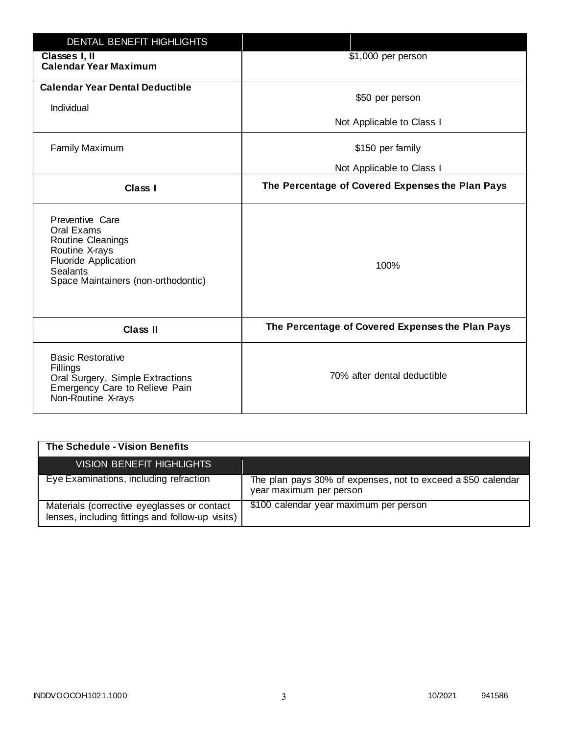| <b>DENTAL BENEFIT HIGHLIGHTS</b>                                                                                                                              |                                                  |
|---------------------------------------------------------------------------------------------------------------------------------------------------------------|--------------------------------------------------|
| Classes I, II<br><b>Calendar Year Maximum</b>                                                                                                                 | \$1,000 per person                               |
| <b>Calendar Year Dental Deductible</b><br>Individual                                                                                                          | \$50 per person                                  |
|                                                                                                                                                               | Not Applicable to Class I                        |
| <b>Family Maximum</b>                                                                                                                                         | \$150 per family                                 |
|                                                                                                                                                               | Not Applicable to Class I                        |
| <b>Class I</b>                                                                                                                                                | The Percentage of Covered Expenses the Plan Pays |
| Preventive Care<br>Oral Exams<br>Routine Cleanings<br>Routine X-rays<br><b>Fluoride Application</b><br><b>Sealants</b><br>Space Maintainers (non-orthodontic) | 100%                                             |
| <b>Class II</b>                                                                                                                                               | The Percentage of Covered Expenses the Plan Pays |
| <b>Basic Restorative</b><br>Fillings<br>Oral Surgery, Simple Extractions<br>Emergency Care to Relieve Pain<br>Non-Routine X-rays                              | 70% after dental deductible                      |

| The Schedule - Vision Benefits                                                                  |                                                                                         |
|-------------------------------------------------------------------------------------------------|-----------------------------------------------------------------------------------------|
| <b>VISION BENEFIT HIGHLIGHTS,</b>                                                               |                                                                                         |
| Eye Examinations, including refraction                                                          | The plan pays 30% of expenses, not to exceed a \$50 calendar<br>year maximum per person |
| Materials (corrective eyeglasses or contact<br>lenses, including fittings and follow-up visits) | \$100 calendar year maximum per person                                                  |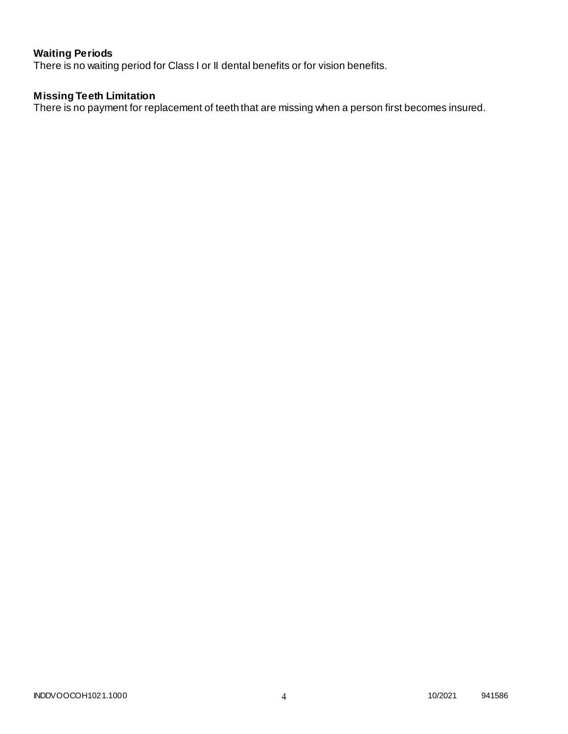# **Waiting Periods**

There is no waiting period for Class I or II dental benefits or for vision benefits.

### **Missing Teeth Limitation**

There is no payment for replacement of teeth that are missing when a person first becomes insured.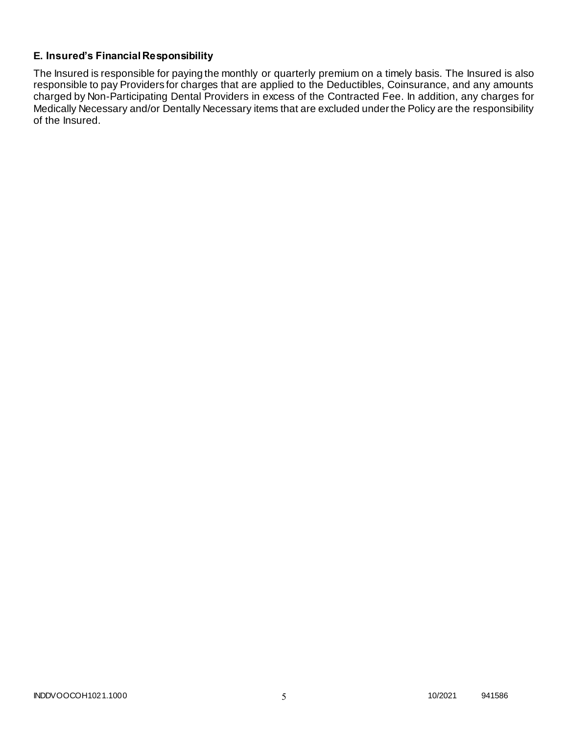# **E. Insured's Financial Responsibility**

The Insured is responsible for paying the monthly or quarterly premium on a timely basis. The Insured is also responsible to pay Providers for charges that are applied to the Deductibles, Coinsurance, and any amounts charged by Non-Participating Dental Providers in excess of the Contracted Fee. In addition, any charges for Medically Necessary and/or Dentally Necessary items that are excluded under the Policy are the responsibility of the Insured.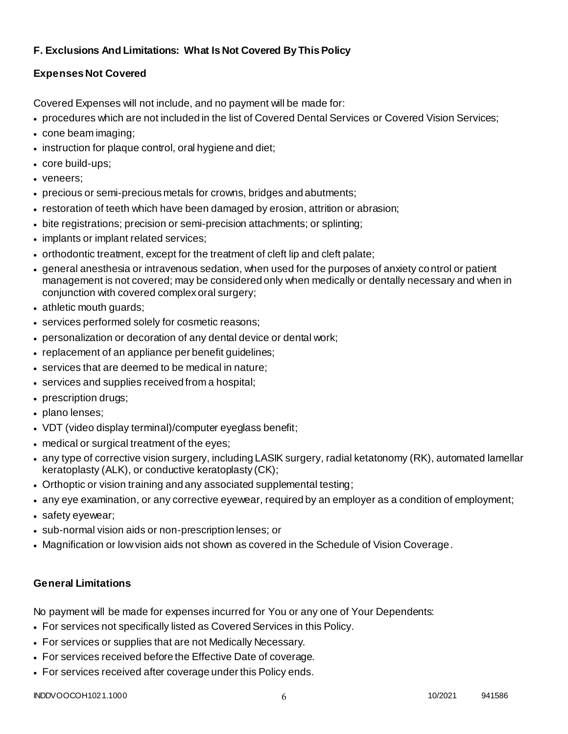# **F. Exclusions And Limitations: What Is Not Covered By This Policy**

# **Expenses Not Covered**

Covered Expenses will not include, and no payment will be made for:

- procedures which are not included in the list of Covered Dental Services or Covered Vision Services;
- cone beam imaging;
- instruction for plaque control, oral hygiene and diet;
- core build-ups;
- veneers;
- precious or semi-precious metals for crowns, bridges and abutments;
- restoration of teeth which have been damaged by erosion, attrition or abrasion;
- bite registrations; precision or semi-precision attachments; or splinting;
- implants or implant related services;
- orthodontic treatment, except for the treatment of cleft lip and cleft palate;
- general anesthesia or intravenous sedation, when used for the purposes of anxiety control or patient management is not covered; may be considered only when medically or dentally necessary and when in conjunction with covered complex oral surgery;
- athletic mouth guards;
- services performed solely for cosmetic reasons;
- personalization or decoration of any dental device or dental work;
- replacement of an appliance per benefit quidelines;
- services that are deemed to be medical in nature;
- services and supplies received from a hospital;
- prescription drugs;
- plano lenses;
- VDT (video display terminal)/computer eyeglass benefit;
- medical or surgical treatment of the eyes;
- any type of corrective vision surgery, including LASIK surgery, radial ketatonomy (RK), automated lamellar keratoplasty (ALK), or conductive keratoplasty (CK);
- Orthoptic or vision training and any associated supplemental testing;
- any eye examination, or any corrective eyewear, required by an employer as a condition of employment;
- safety eyewear;
- sub-normal vision aids or non-prescription lenses; or
- Magnification or low vision aids not shown as covered in the Schedule of Vision Coverage.

# **General Limitations**

No payment will be made for expenses incurred for You or any one of Your Dependents:

- For services not specifically listed as Covered Services in this Policy.
- For services or supplies that are not Medically Necessary.
- For services received before the Effective Date of coverage.
- For services received after coverage under this Policy ends.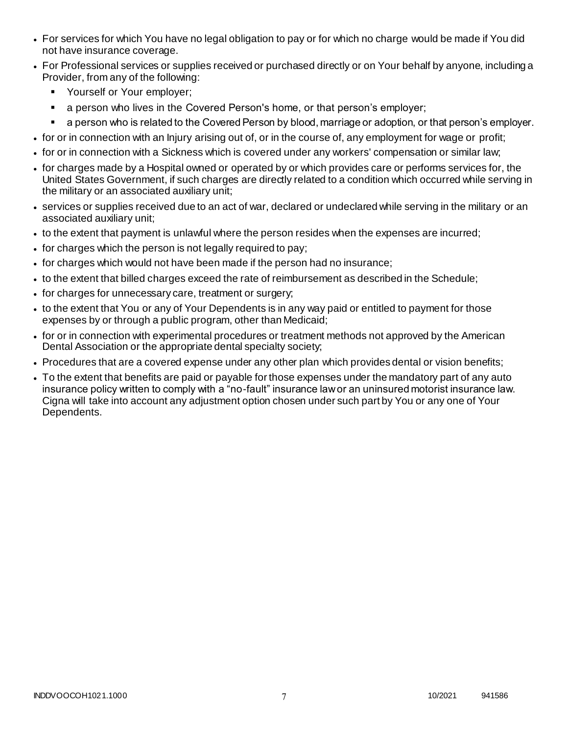- For services for which You have no legal obligation to pay or for which no charge would be made if You did not have insurance coverage.
- For Professional services or supplies received or purchased directly or on Your behalf by anyone, including a Provider, from any of the following:
	- **Yourself or Your employer;**
	- a person who lives in the Covered Person's home, or that person's employer;
	- a person who is related to the Covered Person by blood, marriage or adoption, or that person's employer.
- for or in connection with an Injury arising out of, or in the course of, any employment for wage or profit;
- for or in connection with a Sickness which is covered under any workers' compensation or similar law;
- for charges made by a Hospital owned or operated by or which provides care or performs services for, the United States Government, if such charges are directly related to a condition which occurred while serving in the military or an associated auxiliary unit;
- services or supplies received due to an act of war, declared or undeclared while serving in the military or an associated auxiliary unit;
- to the extent that payment is unlawful where the person resides when the expenses are incurred;
- for charges which the person is not legally required to pay;
- for charges which would not have been made if the person had no insurance;
- to the extent that billed charges exceed the rate of reimbursement as described in the Schedule;
- for charges for unnecessary care, treatment or surgery;
- to the extent that You or any of Your Dependents is in any way paid or entitled to payment for those expenses by or through a public program, other than Medicaid;
- for or in connection with experimental procedures or treatment methods not approved by the American Dental Association or the appropriate dental specialty society;
- Procedures that are a covered expense under any other plan which provides dental or vision benefits;
- To the extent that benefits are paid or payable for those expenses under the mandatory part of any auto insurance policy written to comply with a "no-fault" insurance law or an uninsured motorist insurance law. Cigna will take into account any adjustment option chosen under such part by You or any one of Your Dependents.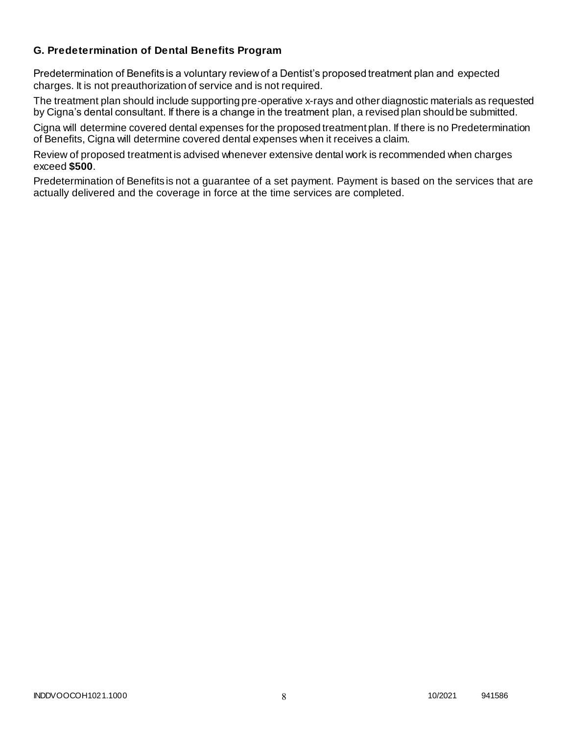### **G. Predetermination of Dental Benefits Program**

Predetermination of Benefits is a voluntary review of a Dentist's proposed treatment plan and expected charges. It is not preauthorization of service and is not required.

The treatment plan should include supporting pre-operative x-rays and other diagnostic materials as requested by Cigna's dental consultant. If there is a change in the treatment plan, a revised plan should be submitted.

Cigna will determine covered dental expenses for the proposed treatment plan. If there is no Predetermination of Benefits, Cigna will determine covered dental expenses when it receives a claim.

Review of proposed treatment is advised whenever extensive dental work is recommended when charges exceed **\$500**.

Predetermination of Benefits is not a guarantee of a set payment. Payment is based on the services that are actually delivered and the coverage in force at the time services are completed.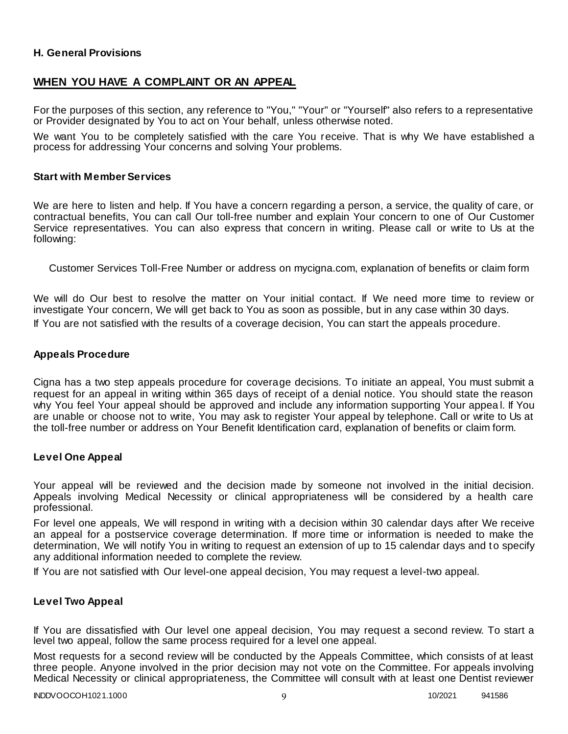### **H. General Provisions**

### **WHEN YOU HAVE A COMPLAINT OR AN APPEAL**

For the purposes of this section, any reference to "You," "Your" or "Yourself" also refers to a representative or Provider designated by You to act on Your behalf, unless otherwise noted.

We want You to be completely satisfied with the care You receive. That is why We have established a process for addressing Your concerns and solving Your problems.

#### **Start with Member Services**

We are here to listen and help. If You have a concern regarding a person, a service, the quality of care, or contractual benefits, You can call Our toll-free number and explain Your concern to one of Our Customer Service representatives. You can also express that concern in writing. Please call or write to Us at the following:

Customer Services Toll-Free Number or address on mycigna.com, explanation of benefits or claim form

We will do Our best to resolve the matter on Your initial contact. If We need more time to review or investigate Your concern, We will get back to You as soon as possible, but in any case within 30 days. If You are not satisfied with the results of a coverage decision, You can start the appeals procedure.

#### **Appeals Procedure**

Cigna has a two step appeals procedure for coverage decisions. To initiate an appeal, You must submit a request for an appeal in writing within 365 days of receipt of a denial notice. You should state the reason why You feel Your appeal should be approved and include any information supporting Your appea l. If You are unable or choose not to write, You may ask to register Your appeal by telephone. Call or write to Us at the toll-free number or address on Your Benefit Identification card, explanation of benefits or claim form.

#### **Level One Appeal**

Your appeal will be reviewed and the decision made by someone not involved in the initial decision. Appeals involving Medical Necessity or clinical appropriateness will be considered by a health care professional.

For level one appeals, We will respond in writing with a decision within 30 calendar days after We receive an appeal for a postservice coverage determination. If more time or information is needed to make the determination, We will notify You in writing to request an extension of up to 15 calendar days and to specify any additional information needed to complete the review.

If You are not satisfied with Our level-one appeal decision, You may request a level-two appeal.

### **Level Two Appeal**

If You are dissatisfied with Our level one appeal decision, You may request a second review. To start a level two appeal, follow the same process required for a level one appeal.

Most requests for a second review will be conducted by the Appeals Committee, which consists of at least three people. Anyone involved in the prior decision may not vote on the Committee. For appeals involving Medical Necessity or clinical appropriateness, the Committee will consult with at least one Dentist reviewer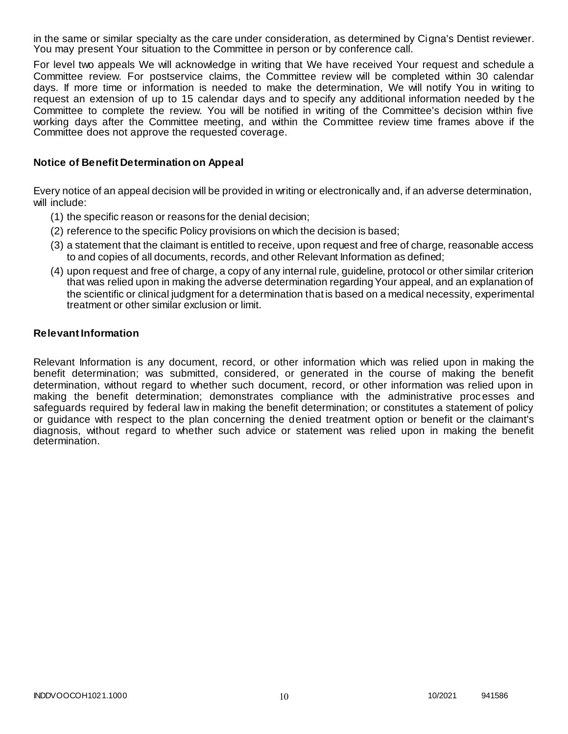in the same or similar specialty as the care under consideration, as determined by Cigna's Dentist reviewer. You may present Your situation to the Committee in person or by conference call.

For level two appeals We will acknowledge in writing that We have received Your request and schedule a Committee review. For postservice claims, the Committee review will be completed within 30 calendar days. If more time or information is needed to make the determination, We will notify You in writing to request an extension of up to 15 calendar days and to specify any additional information needed by t he Committee to complete the review. You will be notified in writing of the Committee's decision within five working days after the Committee meeting, and within the Committee review time frames above if the Committee does not approve the requested coverage.

### **Notice of Benefit Determination on Appeal**

Every notice of an appeal decision will be provided in writing or electronically and, if an adverse determination, will include:

- (1) the specific reason or reasons for the denial decision;
- (2) reference to the specific Policy provisions on which the decision is based;
- (3) a statement that the claimant is entitled to receive, upon request and free of charge, reasonable access to and copies of all documents, records, and other Relevant Information as defined;
- (4) upon request and free of charge, a copy of any internal rule, guideline, protocol or other similar criterion that was relied upon in making the adverse determination regarding Your appeal, and an explanation of the scientific or clinical judgment for a determination that is based on a medical necessity, experimental treatment or other similar exclusion or limit.

#### **Relevant Information**

Relevant Information is any document, record, or other information which was relied upon in making the benefit determination; was submitted, considered, or generated in the course of making the benefit determination, without regard to whether such document, record, or other information was relied upon in making the benefit determination; demonstrates compliance with the administrative processes and safeguards required by federal law in making the benefit determination; or constitutes a statement of policy or guidance with respect to the plan concerning the denied treatment option or benefit or the claimant's diagnosis, without regard to whether such advice or statement was relied upon in making the benefit determination.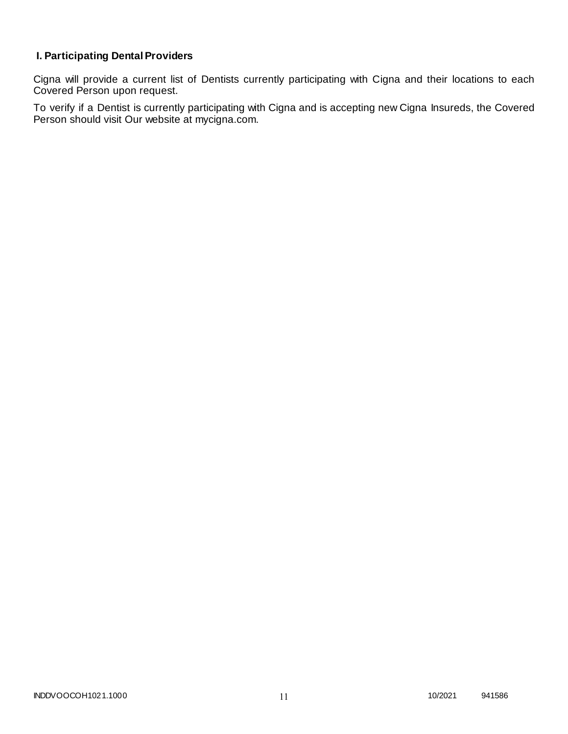# **I. Participating Dental Providers**

Cigna will provide a current list of Dentists currently participating with Cigna and their locations to each Covered Person upon request.

To verify if a Dentist is currently participating with Cigna and is accepting new Cigna Insureds, the Covered Person should visit Our website at mycigna.com.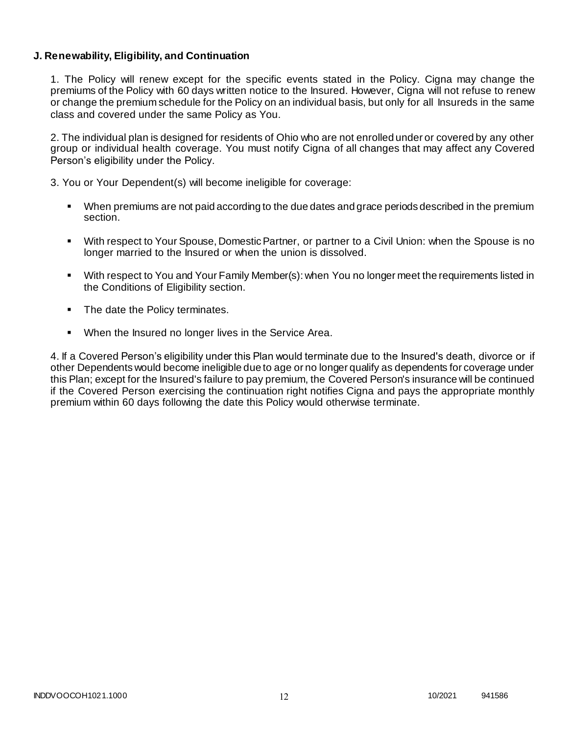### **J. Renewability, Eligibility, and Continuation**

1. The Policy will renew except for the specific events stated in the Policy. Cigna may change the premiums of the Policy with 60 days written notice to the Insured. However, Cigna will not refuse to renew or change the premium schedule for the Policy on an individual basis, but only for all Insureds in the same class and covered under the same Policy as You.

2. The individual plan is designed for residents of Ohio who are not enrolled under or covered by any other group or individual health coverage. You must notify Cigna of all changes that may affect any Covered Person's eligibility under the Policy.

3. You or Your Dependent(s) will become ineligible for coverage:

- When premiums are not paid according to the due dates and grace periods described in the premium section.
- With respect to Your Spouse, Domestic Partner, or partner to a Civil Union: when the Spouse is no longer married to the Insured or when the union is dissolved.
- With respect to You and Your Family Member(s): when You no longer meet the requirements listed in the Conditions of Eligibility section.
- The date the Policy terminates.
- When the Insured no longer lives in the Service Area.

4. If a Covered Person's eligibility under this Plan would terminate due to the Insured's death, divorce or if other Dependents would become ineligible due to age or no longer qualify as dependents for coverage under this Plan; except for the Insured's failure to pay premium, the Covered Person's insurance will be continued if the Covered Person exercising the continuation right notifies Cigna and pays the appropriate monthly premium within 60 days following the date this Policy would otherwise terminate.